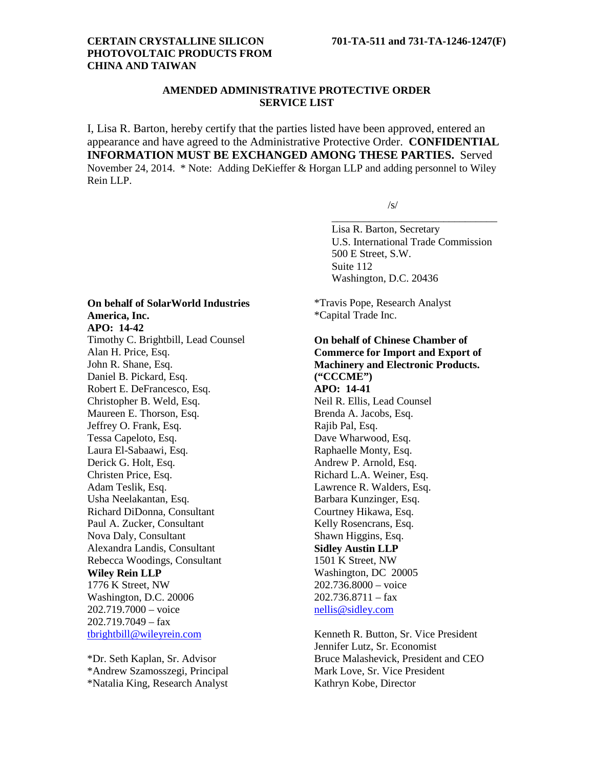## **CERTAIN CRYSTALLINE SILICON 701-TA-511 and 731-TA-1246-1247(F) PHOTOVOLTAIC PRODUCTS FROM CHINA AND TAIWAN**

# **AMENDED ADMINISTRATIVE PROTECTIVE ORDER SERVICE LIST**

I, Lisa R. Barton, hereby certify that the parties listed have been approved, entered an appearance and have agreed to the Administrative Protective Order. **CONFIDENTIAL INFORMATION MUST BE EXCHANGED AMONG THESE PARTIES.** Served November 24, 2014. \* Note: Adding DeKieffer & Horgan LLP and adding personnel to Wiley Rein LLP.

 $/s/$ 

Lisa R. Barton, Secretary U.S. International Trade Commission 500 E Street, S.W. Suite 112 Washington, D.C. 20436

\_\_\_\_\_\_\_\_\_\_\_\_\_\_\_\_\_\_\_\_\_\_\_\_\_\_\_\_\_\_\_

\*Travis Pope, Research Analyst \*Capital Trade Inc.

**On behalf of Chinese Chamber of Commerce for Import and Export of Machinery and Electronic Products. ("CCCME") APO: 14-41** Neil R. Ellis, Lead Counsel Brenda A. Jacobs, Esq. Rajib Pal, Esq. Dave Wharwood, Esq. Raphaelle Monty, Esq. Andrew P. Arnold, Esq. Richard L.A. Weiner, Esq. Lawrence R. Walders, Esq. Barbara Kunzinger, Esq. Courtney Hikawa, Esq. Kelly Rosencrans, Esq. Shawn Higgins, Esq. **Sidley Austin LLP** 1501 K Street, NW Washington, DC 20005 202.736.8000 – voice  $202.736.8711 - fax$ [nellis@sidley.com](mailto:nellis@sidley.com)

Kenneth R. Button, Sr. Vice President Jennifer Lutz, Sr. Economist Bruce Malashevick, President and CEO Mark Love, Sr. Vice President Kathryn Kobe, Director

# **On behalf of SolarWorld Industries America, Inc.**

**APO: 14-42**

Timothy C. Brightbill, Lead Counsel Alan H. Price, Esq. John R. Shane, Esq. Daniel B. Pickard, Esq. Robert E. DeFrancesco, Esq. Christopher B. Weld, Esq. Maureen E. Thorson, Esq. Jeffrey O. Frank, Esq. Tessa Capeloto, Esq. Laura El-Sabaawi, Esq. Derick G. Holt, Esq. Christen Price, Esq. Adam Teslik, Esq. Usha Neelakantan, Esq. Richard DiDonna, Consultant Paul A. Zucker, Consultant Nova Daly, Consultant Alexandra Landis, Consultant Rebecca Woodings, Consultant **Wiley Rein LLP** 1776 K Street, NW Washington, D.C. 20006 202.719.7000 – voice 202.719.7049 – fax [tbrightbill@wileyrein.com](mailto:tbrightbill@wileyrein.com)

\*Dr. Seth Kaplan, Sr. Advisor \*Andrew Szamosszegi, Principal \*Natalia King, Research Analyst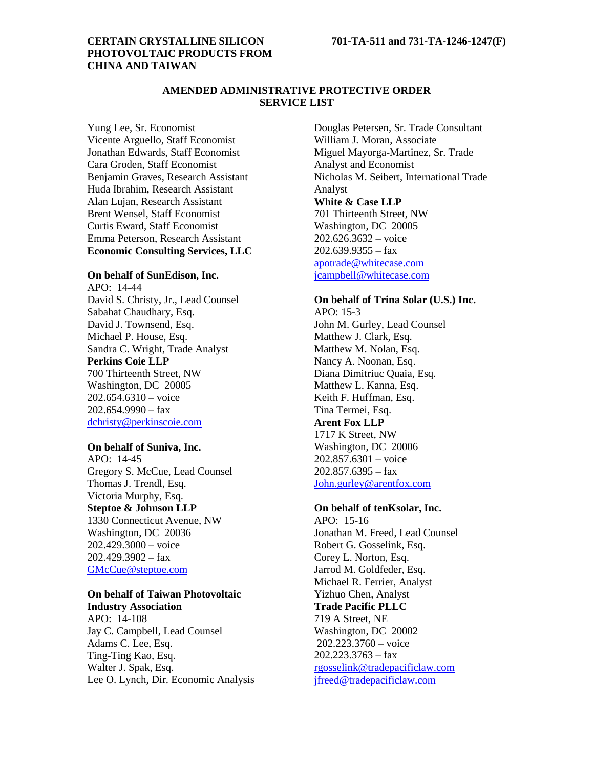# **PHOTOVOLTAIC PRODUCTS FROM CHINA AND TAIWAN**

# **AMENDED ADMINISTRATIVE PROTECTIVE ORDER SERVICE LIST**

Yung Lee, Sr. Economist Vicente Arguello, Staff Economist Jonathan Edwards, Staff Economist Cara Groden, Staff Economist Benjamin Graves, Research Assistant Huda Ibrahim, Research Assistant Alan Lujan, Research Assistant Brent Wensel, Staff Economist Curtis Eward, Staff Economist Emma Peterson, Research Assistant **Economic Consulting Services, LLC**

# **On behalf of SunEdison, Inc.**

APO: 14-44 David S. Christy, Jr., Lead Counsel Sabahat Chaudhary, Esq. David J. Townsend, Esq. Michael P. House, Esq. Sandra C. Wright, Trade Analyst **Perkins Coie LLP** 700 Thirteenth Street, NW Washington, DC 20005 202.654.6310 – voice  $202.654.9990 - fax$ [dchristy@perkinscoie.com](mailto:dchristy@perkinscoie.com)

#### **On behalf of Suniva, Inc.**

APO: 14-45 Gregory S. McCue, Lead Counsel Thomas J. Trendl, Esq. Victoria Murphy, Esq. **Steptoe & Johnson LLP** 1330 Connecticut Avenue, NW Washington, DC 20036 202.429.3000 – voice  $202.429.3902 - fax$ [GMcCue@steptoe.com](mailto:GMcCue@steptoe.com)

# **On behalf of Taiwan Photovoltaic**

**Industry Association** APO: 14-108 Jay C. Campbell, Lead Counsel Adams C. Lee, Esq. Ting-Ting Kao, Esq. Walter J. Spak, Esq. Lee O. Lynch, Dir. Economic Analysis

Douglas Petersen, Sr. Trade Consultant William J. Moran, Associate Miguel Mayorga-Martinez, Sr. Trade Analyst and Economist Nicholas M. Seibert, International Trade Analyst **White & Case LLP** 701 Thirteenth Street, NW Washington, DC 20005 202.626.3632 – voice 202.639.9355 – fax [apotrade@whitecase.com](mailto:apotrade@whitecase.com) [jcampbell@whitecase.com](mailto:jcampbell@whitecase.com)

#### **On behalf of Trina Solar (U.S.) Inc.**

APO: 15-3 John M. Gurley, Lead Counsel Matthew J. Clark, Esq. Matthew M. Nolan, Esq. Nancy A. Noonan, Esq. Diana Dimitriuc Quaia, Esq. Matthew L. Kanna, Esq. Keith F. Huffman, Esq. Tina Termei, Esq. **Arent Fox LLP**

1717 K Street, NW Washington, DC 20006 202.857.6301 – voice 202.857.6395 – fax [John.gurley@arentfox.com](mailto:John.gurley@arentfox.com)

### **On behalf of tenKsolar, Inc.**

 $APO: 15-16$ Jonathan M. Freed, Lead Counsel Robert G. Gosselink, Esq. Corey L. Norton, Esq. Jarrod M. Goldfeder, Esq. Michael R. Ferrier, Analyst Yizhuo Chen, Analyst **Trade Pacific PLLC** 719 A Street, NE Washington, DC 20002 202.223.3760 – voice  $202.223.3763 - fax$ [rgosselink@tradepacificlaw.com](mailto:rgosselink@tradepacificlaw.com) [jfreed@tradepacificlaw.com](mailto:jfreed@tradepacificlaw.com)